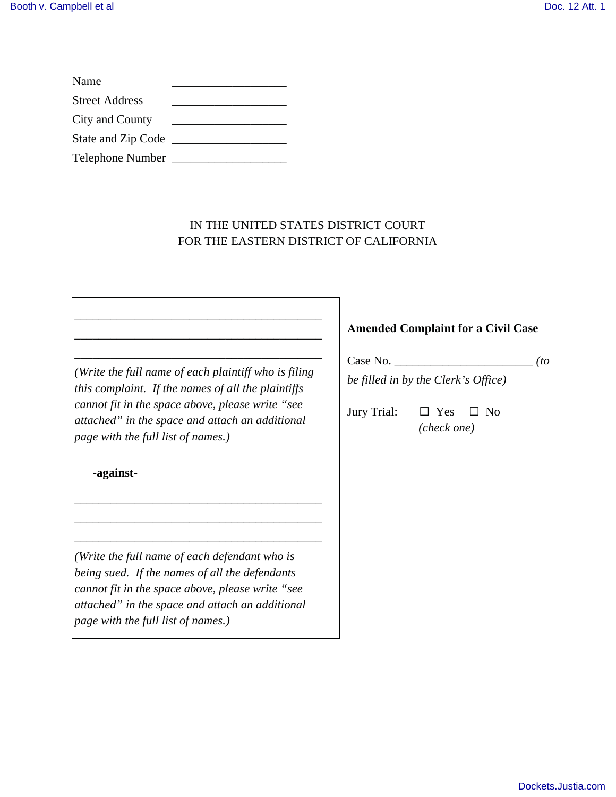| Name                    |  |
|-------------------------|--|
| <b>Street Address</b>   |  |
| City and County         |  |
| State and Zip Code      |  |
| <b>Telephone Number</b> |  |

# IN THE UNITED STATES DISTRICT COURT FOR THE EASTERN DISTRICT OF CALIFORNIA

*(Write the full name of each plaintiff who is filing this complaint. If the names of all the plaintiffs cannot fit in the space above, please write "see attached" in the space and attach an additional page with the full list of names.)*

\_\_\_\_\_\_\_\_\_\_\_\_\_\_\_\_\_\_\_\_\_\_\_\_\_\_\_\_\_\_\_\_\_\_\_\_\_\_\_\_\_ \_\_\_\_\_\_\_\_\_\_\_\_\_\_\_\_\_\_\_\_\_\_\_\_\_\_\_\_\_\_\_\_\_\_\_\_\_\_\_\_\_ \_\_\_\_\_\_\_\_\_\_\_\_\_\_\_\_\_\_\_\_\_\_\_\_\_\_\_\_\_\_\_\_\_\_\_\_\_\_\_\_\_

\_\_\_\_\_\_\_\_\_\_\_\_\_\_\_\_\_\_\_\_\_\_\_\_\_\_\_\_\_\_\_\_\_\_\_\_\_\_\_\_\_ \_\_\_\_\_\_\_\_\_\_\_\_\_\_\_\_\_\_\_\_\_\_\_\_\_\_\_\_\_\_\_\_\_\_\_\_\_\_\_\_\_ \_\_\_\_\_\_\_\_\_\_\_\_\_\_\_\_\_\_\_\_\_\_\_\_\_\_\_\_\_\_\_\_\_\_\_\_\_\_\_\_\_

**-against-**

*(Write the full name of each defendant who is being sued. If the names of all the defendants cannot fit in the space above, please write "see attached" in the space and attach an additional page with the full list of names.)*

# **Amended Complaint for a Civil Case**

Case No. \_\_\_\_\_\_\_\_\_\_\_\_\_\_\_\_\_\_\_\_\_\_\_ *(to be filled in by the Clerk's Office)*

Jury Trial:  $\Box$  Yes  $\Box$  No *(check one)*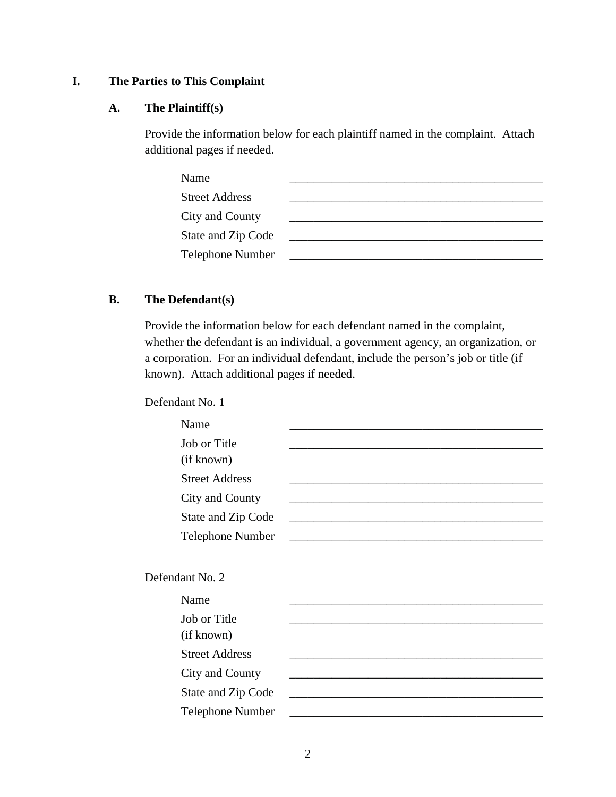# **I. The Parties to This Complaint**

#### **A. The Plaintiff(s)**

Provide the information below for each plaintiff named in the complaint. Attach additional pages if needed.

| Name                  |  |
|-----------------------|--|
| <b>Street Address</b> |  |
| City and County       |  |
| State and Zip Code    |  |
| Telephone Number      |  |

# **B. The Defendant(s)**

Provide the information below for each defendant named in the complaint, whether the defendant is an individual, a government agency, an organization, or a corporation. For an individual defendant, include the person's job or title (if known). Attach additional pages if needed.

Defendant No. 1

| Name                      |                                                                                                                                                                                                                               |
|---------------------------|-------------------------------------------------------------------------------------------------------------------------------------------------------------------------------------------------------------------------------|
| Job or Title              |                                                                                                                                                                                                                               |
| (if known)                |                                                                                                                                                                                                                               |
| <b>Street Address</b>     |                                                                                                                                                                                                                               |
| City and County           |                                                                                                                                                                                                                               |
| <b>State and Zip Code</b> |                                                                                                                                                                                                                               |
| Telephone Number          |                                                                                                                                                                                                                               |
|                           |                                                                                                                                                                                                                               |
| Defendant No. 2           |                                                                                                                                                                                                                               |
| Name                      |                                                                                                                                                                                                                               |
| Job or Title              |                                                                                                                                                                                                                               |
| (if known)                |                                                                                                                                                                                                                               |
| <b>Street Address</b>     |                                                                                                                                                                                                                               |
| City and County           |                                                                                                                                                                                                                               |
| <b>State and Zip Code</b> | the control of the control of the control of the control of the control of the control of the control of the control of the control of the control of the control of the control of the control of the control of the control |
| <b>Telephone Number</b>   |                                                                                                                                                                                                                               |
|                           |                                                                                                                                                                                                                               |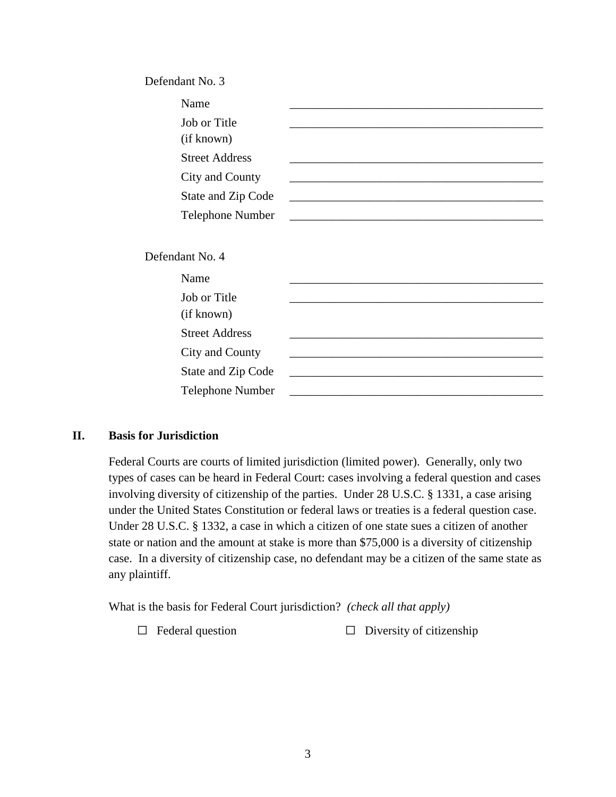| Defendant No. 3            |                                                                                                                      |
|----------------------------|----------------------------------------------------------------------------------------------------------------------|
| Name                       |                                                                                                                      |
| Job or Title<br>(if known) |                                                                                                                      |
| <b>Street Address</b>      |                                                                                                                      |
| City and County            |                                                                                                                      |
| State and Zip Code         | <u> 1989 - Johann Stein, marwolaethau a bhann an t-Amhair ann an t-Amhair an t-Amhair an t-Amhair an t-Amhair an</u> |
| Telephone Number           |                                                                                                                      |
| Defendant No. 4            |                                                                                                                      |
| Name                       |                                                                                                                      |
| Job or Title<br>(if known) |                                                                                                                      |
| <b>Street Address</b>      |                                                                                                                      |
| City and County            |                                                                                                                      |
| State and Zip Code         |                                                                                                                      |
| <b>Telephone Number</b>    |                                                                                                                      |

#### **II. Basis for Jurisdiction**

Federal Courts are courts of limited jurisdiction (limited power). Generally, only two types of cases can be heard in Federal Court: cases involving a federal question and cases involving diversity of citizenship of the parties. Under 28 U.S.C. § 1331, a case arising under the United States Constitution or federal laws or treaties is a federal question case. Under 28 U.S.C. § 1332, a case in which a citizen of one state sues a citizen of another state or nation and the amount at stake is more than \$75,000 is a diversity of citizenship case. In a diversity of citizenship case, no defendant may be a citizen of the same state as any plaintiff.

What is the basis for Federal Court jurisdiction? *(check all that apply)*

 $\Box$  Federal question  $\Box$  Diversity of citizenship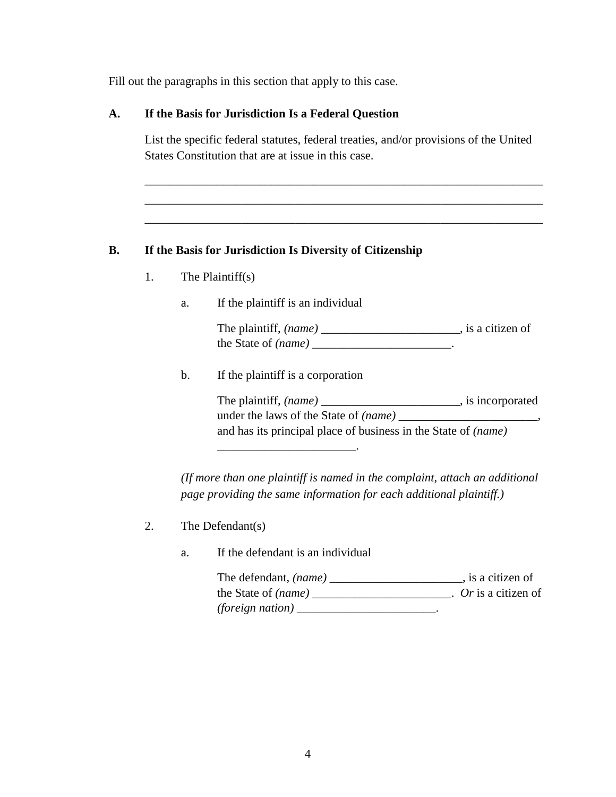Fill out the paragraphs in this section that apply to this case.

#### **A. If the Basis for Jurisdiction Is a Federal Question**

List the specific federal statutes, federal treaties, and/or provisions of the United States Constitution that are at issue in this case.

\_\_\_\_\_\_\_\_\_\_\_\_\_\_\_\_\_\_\_\_\_\_\_\_\_\_\_\_\_\_\_\_\_\_\_\_\_\_\_\_\_\_\_\_\_\_\_\_\_\_\_\_\_\_\_\_\_\_\_\_\_\_\_\_\_\_ \_\_\_\_\_\_\_\_\_\_\_\_\_\_\_\_\_\_\_\_\_\_\_\_\_\_\_\_\_\_\_\_\_\_\_\_\_\_\_\_\_\_\_\_\_\_\_\_\_\_\_\_\_\_\_\_\_\_\_\_\_\_\_\_\_\_ \_\_\_\_\_\_\_\_\_\_\_\_\_\_\_\_\_\_\_\_\_\_\_\_\_\_\_\_\_\_\_\_\_\_\_\_\_\_\_\_\_\_\_\_\_\_\_\_\_\_\_\_\_\_\_\_\_\_\_\_\_\_\_\_\_\_

### **B. If the Basis for Jurisdiction Is Diversity of Citizenship**

- 1. The Plaintiff(s)
	- a. If the plaintiff is an individual

The plaintiff, *(name)* \_\_\_\_\_\_\_\_\_\_\_\_\_\_\_\_\_\_\_\_\_\_\_, is a citizen of the State of *(name)* \_\_\_\_\_\_\_\_\_\_\_\_\_\_\_\_\_\_\_\_\_\_\_.

b. If the plaintiff is a corporation

\_\_\_\_\_\_\_\_\_\_\_\_\_\_\_\_\_\_\_\_\_\_\_.

The plaintiff,  $(name)$  \_\_\_\_\_\_\_\_\_\_\_\_\_\_\_\_\_\_\_\_\_\_\_, is incorporated under the laws of the State of *(name)* \_\_\_\_\_\_\_\_\_\_\_\_\_\_\_\_\_\_\_\_\_\_\_, and has its principal place of business in the State of *(name)*

*(If more than one plaintiff is named in the complaint, attach an additional page providing the same information for each additional plaintiff.)*

- 2. The Defendant(s)
	- a. If the defendant is an individual

| The defendant, <i>(name)</i> | , is a citizen of    |
|------------------------------|----------------------|
| the State of <i>(name)</i>   | $Or$ is a citizen of |
| <i>(foreign nation)</i>      |                      |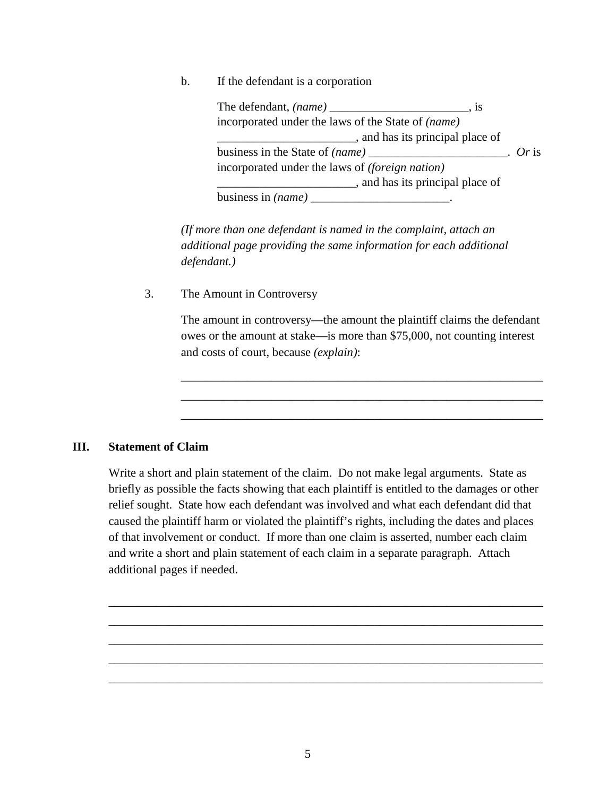b. If the defendant is a corporation

The defendant, *(name)* \_\_\_\_\_\_\_\_\_\_\_\_\_\_\_\_\_\_\_\_\_\_\_, is incorporated under the laws of the State of *(name)*   $\Box$ , and has its principal place of business in the State of *(name)* [1]  $\blacksquare$  . *Or* is incorporated under the laws of *(foreign nation)* \_\_\_\_\_\_\_\_\_\_\_\_\_\_\_\_\_\_\_\_\_\_\_, and has its principal place of business in *(name)* \_\_\_\_\_\_\_\_\_\_\_\_\_\_\_\_\_\_\_\_\_\_\_\_\_.

*(If more than one defendant is named in the complaint, attach an additional page providing the same information for each additional defendant.)*

3. The Amount in Controversy

The amount in controversy—the amount the plaintiff claims the defendant owes or the amount at stake—is more than \$75,000, not counting interest and costs of court, because *(explain)*:

\_\_\_\_\_\_\_\_\_\_\_\_\_\_\_\_\_\_\_\_\_\_\_\_\_\_\_\_\_\_\_\_\_\_\_\_\_\_\_\_\_\_\_\_\_\_\_\_\_\_\_\_\_\_\_\_\_\_\_\_ \_\_\_\_\_\_\_\_\_\_\_\_\_\_\_\_\_\_\_\_\_\_\_\_\_\_\_\_\_\_\_\_\_\_\_\_\_\_\_\_\_\_\_\_\_\_\_\_\_\_\_\_\_\_\_\_\_\_\_\_ \_\_\_\_\_\_\_\_\_\_\_\_\_\_\_\_\_\_\_\_\_\_\_\_\_\_\_\_\_\_\_\_\_\_\_\_\_\_\_\_\_\_\_\_\_\_\_\_\_\_\_\_\_\_\_\_\_\_\_\_

#### **III. Statement of Claim**

Write a short and plain statement of the claim. Do not make legal arguments. State as briefly as possible the facts showing that each plaintiff is entitled to the damages or other relief sought. State how each defendant was involved and what each defendant did that caused the plaintiff harm or violated the plaintiff's rights, including the dates and places of that involvement or conduct. If more than one claim is asserted, number each claim and write a short and plain statement of each claim in a separate paragraph. Attach additional pages if needed.

\_\_\_\_\_\_\_\_\_\_\_\_\_\_\_\_\_\_\_\_\_\_\_\_\_\_\_\_\_\_\_\_\_\_\_\_\_\_\_\_\_\_\_\_\_\_\_\_\_\_\_\_\_\_\_\_\_\_\_\_\_\_\_\_\_\_\_\_\_\_\_\_ \_\_\_\_\_\_\_\_\_\_\_\_\_\_\_\_\_\_\_\_\_\_\_\_\_\_\_\_\_\_\_\_\_\_\_\_\_\_\_\_\_\_\_\_\_\_\_\_\_\_\_\_\_\_\_\_\_\_\_\_\_\_\_\_\_\_\_\_\_\_\_\_ \_\_\_\_\_\_\_\_\_\_\_\_\_\_\_\_\_\_\_\_\_\_\_\_\_\_\_\_\_\_\_\_\_\_\_\_\_\_\_\_\_\_\_\_\_\_\_\_\_\_\_\_\_\_\_\_\_\_\_\_\_\_\_\_\_\_\_\_\_\_\_\_ \_\_\_\_\_\_\_\_\_\_\_\_\_\_\_\_\_\_\_\_\_\_\_\_\_\_\_\_\_\_\_\_\_\_\_\_\_\_\_\_\_\_\_\_\_\_\_\_\_\_\_\_\_\_\_\_\_\_\_\_\_\_\_\_\_\_\_\_\_\_\_\_ \_\_\_\_\_\_\_\_\_\_\_\_\_\_\_\_\_\_\_\_\_\_\_\_\_\_\_\_\_\_\_\_\_\_\_\_\_\_\_\_\_\_\_\_\_\_\_\_\_\_\_\_\_\_\_\_\_\_\_\_\_\_\_\_\_\_\_\_\_\_\_\_